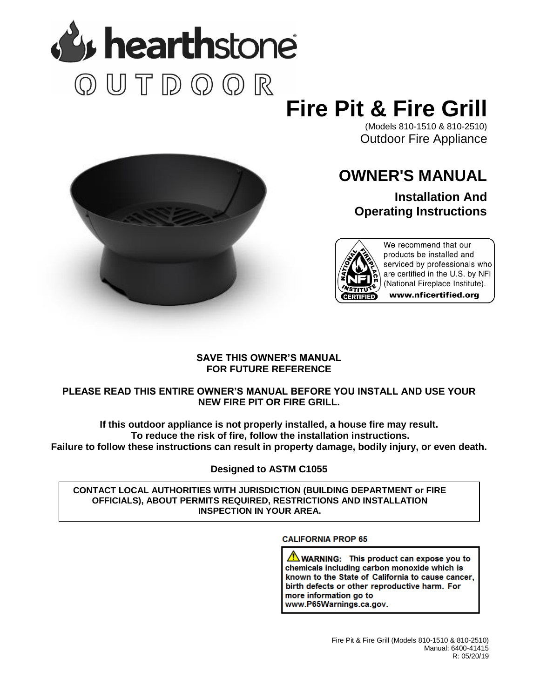

# **Fire Pit & Fire Grill**

(Models 810-1510 & 810-2510) Outdoor Fire Appliance



## **OWNER'S MANUAL**

**Installation And Operating Instructions**



We recommend that our products be installed and serviced by professionals who are certified in the U.S. by NFI (National Fireplace Institute). www.nficertified.org

### **SAVE THIS OWNER'S MANUAL FOR FUTURE REFERENCE**

## **PLEASE READ THIS ENTIRE OWNER'S MANUAL BEFORE YOU INSTALL AND USE YOUR NEW FIRE PIT OR FIRE GRILL.**

**If this outdoor appliance is not properly installed, a house fire may result. To reduce the risk of fire, follow the installation instructions. Failure to follow these instructions can result in property damage, bodily injury, or even death.**

**Designed to ASTM C1055**

**CONTACT LOCAL AUTHORITIES WITH JURISDICTION (BUILDING DEPARTMENT or FIRE OFFICIALS), ABOUT PERMITS REQUIRED, RESTRICTIONS AND INSTALLATION INSPECTION IN YOUR AREA.**

## **CALIFORNIA PROP 65**

 $\sqrt{N}$  WARNING: This product can expose you to chemicals including carbon monoxide which is known to the State of California to cause cancer, birth defects or other reproductive harm. For more information go to www.P65Warnings.ca.gov.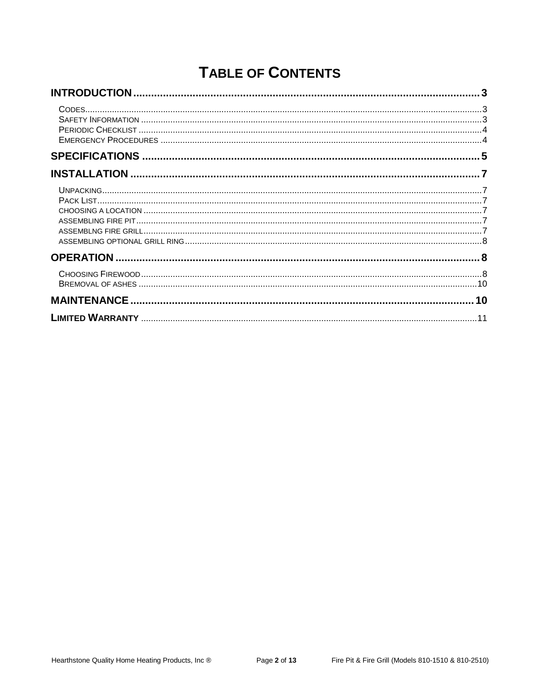## **TABLE OF CONTENTS**

<span id="page-1-0"></span>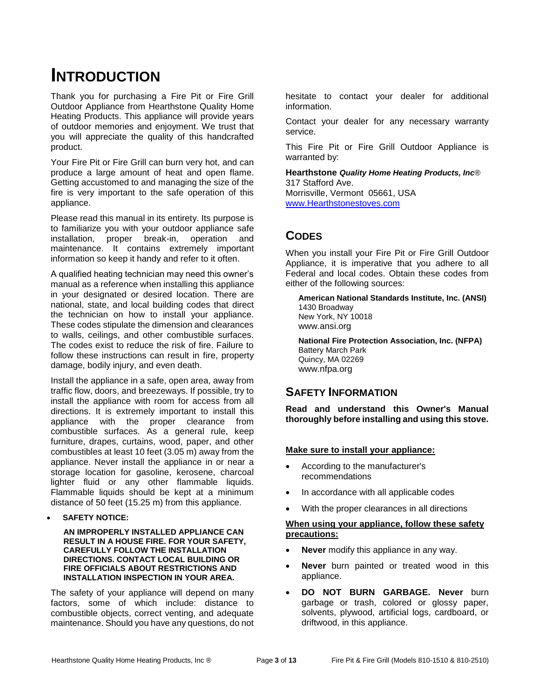## **INTRODUCTION**

Thank you for purchasing a Fire Pit or Fire Grill Outdoor Appliance from Hearthstone Quality Home Heating Products. This appliance will provide years of outdoor memories and enjoyment. We trust that you will appreciate the quality of this handcrafted product.

Your Fire Pit or Fire Grill can burn very hot, and can produce a large amount of heat and open flame. Getting accustomed to and managing the size of the fire is very important to the safe operation of this appliance.

Please read this manual in its entirety. Its purpose is to familiarize you with your outdoor appliance safe installation, proper break-in, operation and maintenance. It contains extremely important information so keep it handy and refer to it often.

A qualified heating technician may need this owner's manual as a reference when installing this appliance in your designated or desired location. There are national, state, and local building codes that direct the technician on how to install your appliance. These codes stipulate the dimension and clearances to walls, ceilings, and other combustible surfaces. The codes exist to reduce the risk of fire. Failure to follow these instructions can result in fire, property damage, bodily injury, and even death.

Install the appliance in a safe, open area, away from traffic flow, doors, and breezeways. If possible, try to install the appliance with room for access from all directions. It is extremely important to install this appliance with the proper clearance from combustible surfaces. As a general rule, keep furniture, drapes, curtains, wood, paper, and other combustibles at least 10 feet (3.05 m) away from the appliance. Never install the appliance in or near a storage location for gasoline, kerosene, charcoal lighter fluid or any other flammable liquids. Flammable liquids should be kept at a minimum distance of 50 feet (15.25 m) from this appliance.

### **SAFETY NOTICE:**

**AN IMPROPERLY INSTALLED APPLIANCE CAN RESULT IN A HOUSE FIRE. FOR YOUR SAFETY, CAREFULLY FOLLOW THE INSTALLATION DIRECTIONS. CONTACT LOCAL BUILDING OR FIRE OFFICIALS ABOUT RESTRICTIONS AND INSTALLATION INSPECTION IN YOUR AREA.**

The safety of your appliance will depend on many factors, some of which include: distance to combustible objects, correct venting, and adequate maintenance. Should you have any questions, do not

hesitate to contact your dealer for additional information.

Contact your dealer for any necessary warranty service.

This Fire Pit or Fire Grill Outdoor Appliance is warranted by:

**Hearthstone** *Quality Home Heating Products, Inc*® 317 Stafford Ave.

Morrisville, Vermont 05661, USA [www.Hearthstonestoves.com](http://www.hearthstonestoves.com/)

## <span id="page-2-0"></span>**CODES**

When you install your Fire Pit or Fire Grill Outdoor Appliance, it is imperative that you adhere to all Federal and local codes. Obtain these codes from either of the following sources:

**American National Standards Institute, Inc. (ANSI)** 1430 Broadway New York, NY 10018 www.ansi.org

**National Fire Protection Association, Inc. (NFPA)** Battery March Park Quincy, MA 02269 www.nfpa.org

## <span id="page-2-1"></span>**SAFETY INFORMATION**

**Read and understand this Owner's Manual thoroughly before installing and using this stove.**

### **Make sure to install your appliance:**

- According to the manufacturer's recommendations
- In accordance with all applicable codes
- With the proper clearances in all directions

### **When using your appliance, follow these safety precautions:**

- **Never** modify this appliance in any way.
- **Never** burn painted or treated wood in this appliance.
- **DO NOT BURN GARBAGE. Never** burn garbage or trash, colored or glossy paper, solvents, plywood, artificial logs, cardboard, or driftwood, in this appliance.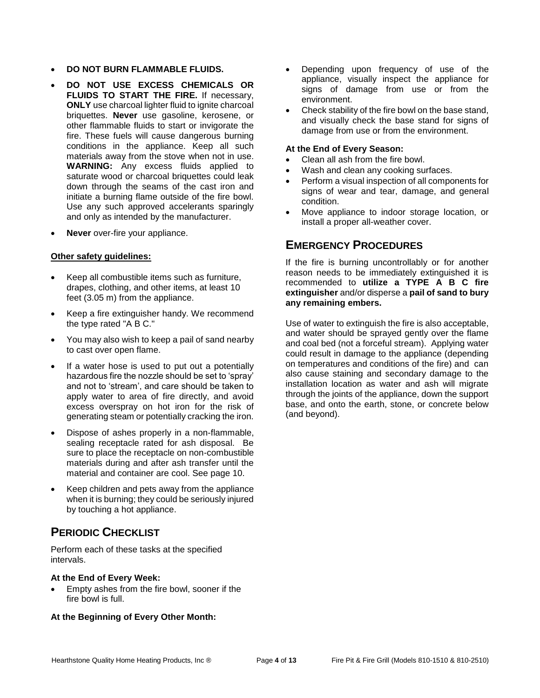- **DO NOT BURN FLAMMABLE FLUIDS.**
- **DO NOT USE EXCESS CHEMICALS OR FLUIDS TO START THE FIRE.** If necessary, **ONLY** use charcoal lighter fluid to ignite charcoal briquettes. **Never** use gasoline, kerosene, or other flammable fluids to start or invigorate the fire. These fuels will cause dangerous burning conditions in the appliance. Keep all such materials away from the stove when not in use. **WARNING:** Any excess fluids applied to saturate wood or charcoal briquettes could leak down through the seams of the cast iron and initiate a burning flame outside of the fire bowl. Use any such approved accelerants sparingly and only as intended by the manufacturer.
- **Never** over-fire your appliance.

### **Other safety guidelines:**

- Keep all combustible items such as furniture, drapes, clothing, and other items, at least 10 feet (3.05 m) from the appliance.
- Keep a fire extinguisher handy. We recommend the type rated "A B C."
- You may also wish to keep a pail of sand nearby to cast over open flame.
- If a water hose is used to put out a potentially hazardous fire the nozzle should be set to 'spray' and not to 'stream', and care should be taken to apply water to area of fire directly, and avoid excess overspray on hot iron for the risk of generating steam or potentially cracking the iron.
- Dispose of ashes properly in a non-flammable, sealing receptacle rated for ash disposal. Be sure to place the receptacle on non-combustible materials during and after ash transfer until the material and container are cool. See page 10.
- Keep children and pets away from the appliance when it is burning; they could be seriously injured by touching a hot appliance.

## <span id="page-3-0"></span>**PERIODIC CHECKLIST**

Perform each of these tasks at the specified intervals.

### **At the End of Every Week:**

 Empty ashes from the fire bowl, sooner if the fire bowl is full.

### **At the Beginning of Every Other Month:**

- Depending upon frequency of use of the appliance, visually inspect the appliance for signs of damage from use or from the environment.
- Check stability of the fire bowl on the base stand, and visually check the base stand for signs of damage from use or from the environment.

### **At the End of Every Season:**

- Clean all ash from the fire bowl.
- Wash and clean any cooking surfaces.
- Perform a visual inspection of all components for signs of wear and tear, damage, and general condition.
- Move appliance to indoor storage location, or install a proper all-weather cover.

## <span id="page-3-1"></span>**EMERGENCY PROCEDURES**

If the fire is burning uncontrollably or for another reason needs to be immediately extinguished it is recommended to **utilize a TYPE A B C fire extinguisher** and/or disperse a **pail of sand to bury any remaining embers.**

<span id="page-3-2"></span>Use of water to extinguish the fire is also acceptable, and water should be sprayed gently over the flame and coal bed (not a forceful stream). Applying water could result in damage to the appliance (depending on temperatures and conditions of the fire) and can also cause staining and secondary damage to the installation location as water and ash will migrate through the joints of the appliance, down the support base, and onto the earth, stone, or concrete below (and beyond).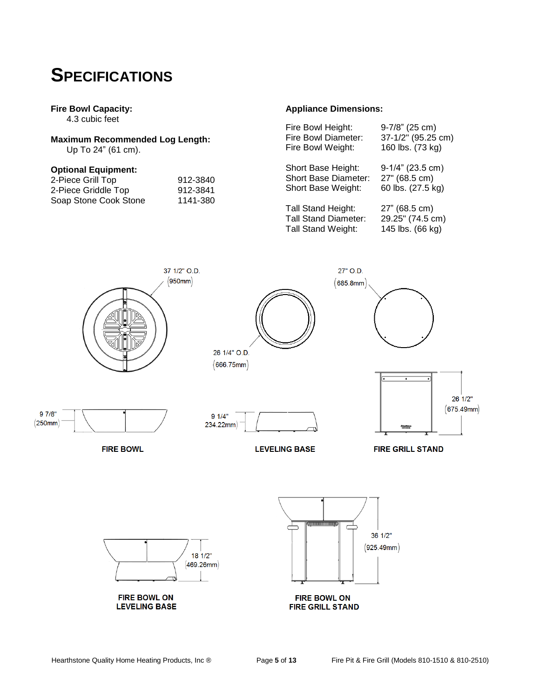## **SPECIFICATIONS**

### **Fire Bowl Capacity:**

4.3 cubic feet

## **Maximum Recommended Log Length:**

Up To 24" (61 cm).

### **Optional Equipment:**

| 2-Piece Grill Top     | 912-3840 |
|-----------------------|----------|
| 2-Piece Griddle Top   | 912-3841 |
| Soap Stone Cook Stone | 1141-380 |

### **Appliance Dimensions:**

| Fire Bowl Height:           | 9-7/8" (25 cm)      |
|-----------------------------|---------------------|
| Fire Bowl Diameter:         | 37-1/2" (95.25 cm)  |
| Fire Bowl Weight:           | 160 lbs. (73 kg)    |
| Short Base Height:          | $9-1/4$ " (23.5 cm) |
| <b>Short Base Diameter:</b> | 27" (68.5 cm)       |
| Short Base Weight:          | 60 lbs. (27.5 kg)   |
| <b>Tall Stand Height:</b>   | 27" (68.5 cm)       |
| <b>Tall Stand Diameter:</b> | 29.25" (74.5 cm)    |
| <b>Tall Stand Weight:</b>   | 145 lbs. (66 kg)    |

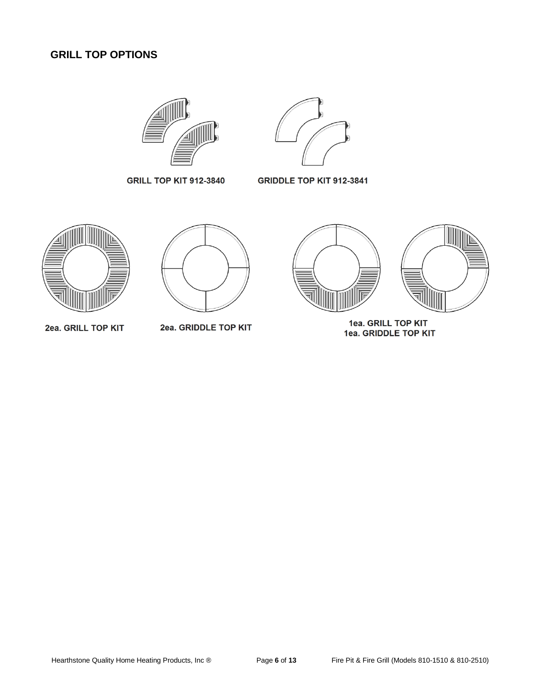## <span id="page-5-0"></span>**GRILL TOP OPTIONS**





**GRILL TOP KIT 912-3840** 

**GRIDDLE TOP KIT 912-3841** 



2ea. GRILL TOP KIT



2ea. GRIDDLE TOP KIT





1ea. GRILL TOP KIT<br>1ea. GRIDDLE TOP KIT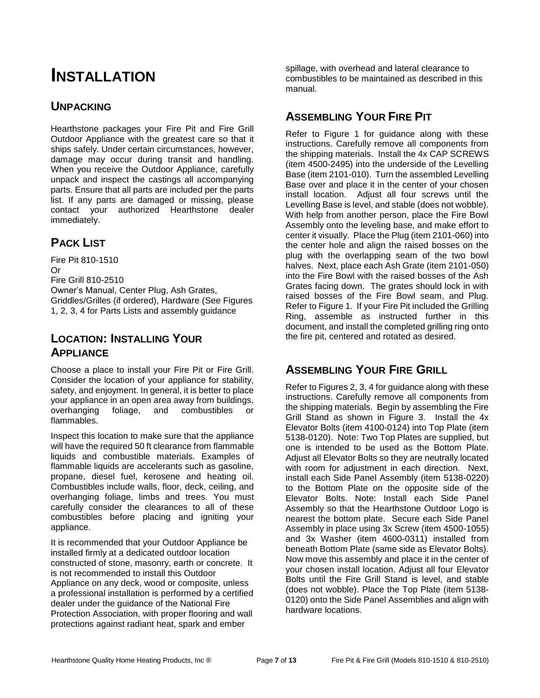## **INSTALLATION**

## <span id="page-6-0"></span>**UNPACKING**

Hearthstone packages your Fire Pit and Fire Grill Outdoor Appliance with the greatest care so that it ships safely. Under certain circumstances, however, damage may occur during transit and handling. When you receive the Outdoor Appliance, carefully unpack and inspect the castings all accompanying parts. Ensure that all parts are included per the parts list. If any parts are damaged or missing, please contact your authorized Hearthstone dealer immediately.

## <span id="page-6-1"></span>**PACK LIST**

Fire Pit 810-1510 Or Fire Grill 810-2510 Owner's Manual, Center Plug, Ash Grates, Griddles/Grilles (if ordered), Hardware (See Figures 1, 2, 3, 4 for Parts Lists and assembly guidance

## **LOCATION: INSTALLING YOUR APPLIANCE**

Choose a place to install your Fire Pit or Fire Grill. Consider the location of your appliance for stability, safety, and enjoyment. In general, it is better to place your appliance in an open area away from buildings, overhanging foliage, and combustibles or flammables.

Inspect this location to make sure that the appliance will have the required 50 ft clearance from flammable liquids and combustible materials. Examples of flammable liquids are accelerants such as gasoline, propane, diesel fuel, kerosene and heating oil. Combustibles include walls, floor, deck, ceiling, and overhanging foliage, limbs and trees. You must carefully consider the clearances to all of these combustibles before placing and igniting your appliance.

It is recommended that your Outdoor Appliance be installed firmly at a dedicated outdoor location constructed of stone, masonry, earth or concrete. It is not recommended to install this Outdoor Appliance on any deck, wood or composite, unless a professional installation is performed by a certified dealer under the guidance of the National Fire Protection Association, with proper flooring and wall protections against radiant heat, spark and ember

spillage, with overhead and lateral clearance to combustibles to be maintained as described in this manual.

## **ASSEMBLING YOUR FIRE PIT**

Refer to Figure 1 for guidance along with these instructions. Carefully remove all components from the shipping materials. Install the 4x CAP SCREWS (item 4500-2495) into the underside of the Levelling Base (item 2101-010). Turn the assembled Levelling Base over and place it in the center of your chosen install location. Adjust all four screws until the Levelling Base is level, and stable (does not wobble). With help from another person, place the Fire Bowl Assembly onto the leveling base, and make effort to center it visually. Place the Plug (item 2101-060) into the center hole and align the raised bosses on the plug with the overlapping seam of the two bowl halves. Next, place each Ash Grate (item 2101-050) into the Fire Bowl with the raised bosses of the Ash Grates facing down. The grates should lock in with raised bosses of the Fire Bowl seam, and Plug. Refer to Figure 1. If your Fire Pit included the Grilling Ring, assemble as instructed further in this document, and install the completed grilling ring onto the fire pit, centered and rotated as desired.

## **ASSEMBLING YOUR FIRE GRILL**

Refer to Figures 2, 3, 4 for guidance along with these instructions. Carefully remove all components from the shipping materials. Begin by assembling the Fire Grill Stand as shown in Figure 3. Install the 4x Elevator Bolts (item 4100-0124) into Top Plate (item 5138-0120). Note: Two Top Plates are supplied, but one is intended to be used as the Bottom Plate. Adjust all Elevator Bolts so they are neutrally located with room for adjustment in each direction. Next, install each Side Panel Assembly (item 5138-0220) to the Bottom Plate on the opposite side of the Elevator Bolts. Note: Install each Side Panel Assembly so that the Hearthstone Outdoor Logo is nearest the bottom plate. Secure each Side Panel Assembly in place using 3x Screw (item 4500-1055) and 3x Washer (item 4600-0311) installed from beneath Bottom Plate (same side as Elevator Bolts). Now move this assembly and place it in the center of your chosen install location. Adjust all four Elevator Bolts until the Fire Grill Stand is level, and stable (does not wobble). Place the Top Plate (item 5138- 0120) onto the Side Panel Assemblies and align with hardware locations.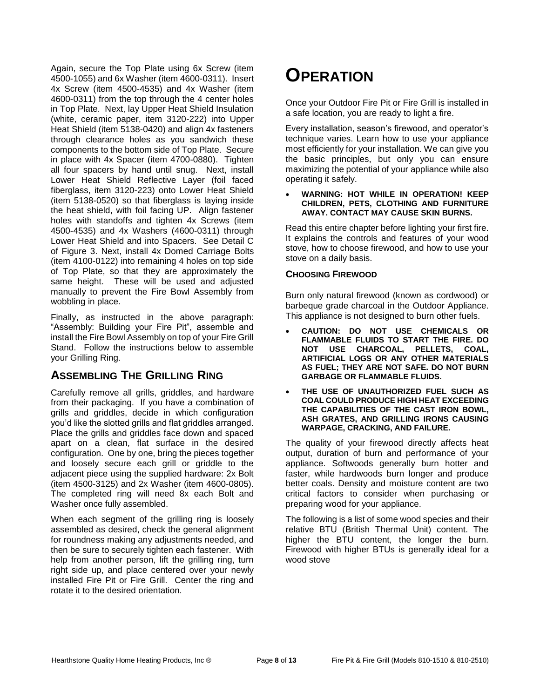<span id="page-7-1"></span>Again, secure the Top Plate using 6x Screw (item 4500-1055) and 6x Washer (item 4600-0311). Insert 4x Screw (item 4500-4535) and 4x Washer (item 4600-0311) from the top through the 4 center holes in Top Plate. Next, lay Upper Heat Shield Insulation (white, ceramic paper, item 3120-222) into Upper Heat Shield (item 5138-0420) and align 4x fasteners through clearance holes as you sandwich these components to the bottom side of Top Plate. Secure in place with 4x Spacer (item 4700-0880). Tighten all four spacers by hand until snug. Next, install Lower Heat Shield Reflective Layer (foil faced fiberglass, item 3120-223) onto Lower Heat Shield (item 5138-0520) so that fiberglass is laying inside the heat shield, with foil facing UP. Align fastener holes with standoffs and tighten 4x Screws (item 4500-4535) and 4x Washers (4600-0311) through Lower Heat Shield and into Spacers. See Detail C of Figure 3. Next, install 4x Domed Carriage Bolts (item 4100-0122) into remaining 4 holes on top side of Top Plate, so that they are approximately the same height. These will be used and adjusted manually to prevent the Fire Bowl Assembly from wobbling in place.

Finally, as instructed in the above paragraph: "Assembly: Building your Fire Pit", assemble and install the Fire Bowl Assembly on top of your Fire Grill Stand. Follow the instructions below to assemble your Grilling Ring.

## **ASSEMBLING THE GRILLING RING**

Carefully remove all grills, griddles, and hardware from their packaging. If you have a combination of grills and griddles, decide in which configuration you'd like the slotted grills and flat griddles arranged. Place the grills and griddles face down and spaced apart on a clean, flat surface in the desired configuration. One by one, bring the pieces together and loosely secure each grill or griddle to the adjacent piece using the supplied hardware: 2x Bolt (item 4500-3125) and 2x Washer (item 4600-0805). The completed ring will need 8x each Bolt and Washer once fully assembled.

<span id="page-7-0"></span>When each segment of the grilling ring is loosely assembled as desired, check the general alignment for roundness making any adjustments needed, and then be sure to securely tighten each fastener. With help from another person, lift the grilling ring, turn right side up, and place centered over your newly installed Fire Pit or Fire Grill. Center the ring and rotate it to the desired orientation.

## **OPERATION**

Once your Outdoor Fire Pit or Fire Grill is installed in a safe location, you are ready to light a fire.

Every installation, season's firewood, and operator's technique varies. Learn how to use your appliance most efficiently for your installation. We can give you the basic principles, but only you can ensure maximizing the potential of your appliance while also operating it safely.

#### **WARNING: HOT WHILE IN OPERATION! KEEP CHILDREN, PETS, CLOTHING AND FURNITURE AWAY. CONTACT MAY CAUSE SKIN BURNS.**

Read this entire chapter before lighting your first fire. It explains the controls and features of your wood stove, how to choose firewood, and how to use your stove on a daily basis.

### **CHOOSING FIREWOOD**

Burn only natural firewood (known as cordwood) or barbeque grade charcoal in the Outdoor Appliance. This appliance is not designed to burn other fuels.

- **CAUTION: DO NOT USE CHEMICALS OR FLAMMABLE FLUIDS TO START THE FIRE. DO NOT USE CHARCOAL, PELLETS, COAL, ARTIFICIAL LOGS OR ANY OTHER MATERIALS AS FUEL; THEY ARE NOT SAFE. DO NOT BURN GARBAGE OR FLAMMABLE FLUIDS.**
- **THE USE OF UNAUTHORIZED FUEL SUCH AS COAL COULD PRODUCE HIGH HEAT EXCEEDING THE CAPABILITIES OF THE CAST IRON BOWL, ASH GRATES, AND GRILLING IRONS CAUSING WARPAGE, CRACKING, AND FAILURE.**

The quality of your firewood directly affects heat output, duration of burn and performance of your appliance. Softwoods generally burn hotter and faster, while hardwoods burn longer and produce better coals. Density and moisture content are two critical factors to consider when purchasing or preparing wood for your appliance.

The following is a list of some wood species and their relative BTU (British Thermal Unit) content. The higher the BTU content, the longer the burn. Firewood with higher BTUs is generally ideal for a wood stove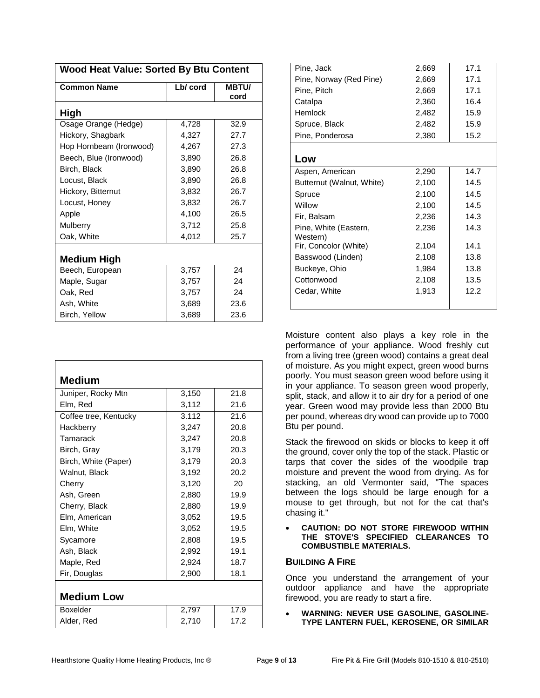| <b>Common Name</b>      | Lb/ cord | <b>MBTU/</b> |  |
|-------------------------|----------|--------------|--|
|                         |          | cord         |  |
| High                    |          |              |  |
| Osage Orange (Hedge)    | 4,728    | 32.9         |  |
| Hickory, Shagbark       | 4,327    | 27.7         |  |
| Hop Hornbeam (Ironwood) | 4,267    | 27.3         |  |
| Beech, Blue (Ironwood)  | 3,890    | 26.8         |  |
| Birch, Black            | 3,890    | 26.8         |  |
| Locust, Black           | 3,890    | 26.8         |  |
| Hickory, Bitternut      | 3,832    | 26.7         |  |
| Locust, Honey           | 3,832    | 26.7         |  |
| Apple                   | 4,100    | 26.5         |  |
| Mulberry                | 3,712    | 25.8         |  |
| Oak, White              | 4,012    | 25.7         |  |
| Medium High             |          |              |  |
| Beech, European         | 3,757    | 24           |  |
| Maple, Sugar            | 3,757    | 24           |  |
| Oak, Red                | 3,757    | 24           |  |
| Ash, White              | 3,689    | 23.6         |  |
| Birch, Yellow           | 3,689    | 23.6         |  |

**Wood Heat Value: Sorted By Btu Content**

| <b>Medium</b>         |       |      |  |
|-----------------------|-------|------|--|
| Juniper, Rocky Mtn    | 3,150 | 21.8 |  |
| Elm, Red              | 3,112 | 21.6 |  |
| Coffee tree, Kentucky | 3.112 | 21.6 |  |
| Hackberry             | 3,247 | 20.8 |  |
| Tamarack              | 3,247 | 20.8 |  |
| Birch, Gray           | 3,179 | 20.3 |  |
| Birch, White (Paper)  | 3,179 | 20.3 |  |
| Walnut, Black         | 3,192 | 20.2 |  |
| Cherry                | 3,120 | 20   |  |
| Ash, Green            | 2,880 | 19.9 |  |
| Cherry, Black         | 2,880 | 19.9 |  |
| Elm, American         | 3,052 | 19.5 |  |
| Elm, White            | 3,052 | 19.5 |  |
| Sycamore              | 2,808 | 19.5 |  |
| Ash, Black            | 2,992 | 19.1 |  |
| Maple, Red            | 2,924 | 18.7 |  |
| Fir, Douglas          | 2,900 | 18.1 |  |
|                       |       |      |  |
| <b>Medium Low</b>     |       |      |  |
| Boxelder              | 2,797 | 17.9 |  |
| Alder, Red            | 2,710 | 17.2 |  |

| Pine, Jack                | 2,669 | 17.1 |
|---------------------------|-------|------|
| Pine, Norway (Red Pine)   | 2,669 | 17.1 |
| Pine, Pitch               | 2,669 | 17.1 |
| Catalpa                   | 2,360 | 16.4 |
| Hemlock                   | 2,482 | 15.9 |
| Spruce, Black             | 2,482 | 15.9 |
| Pine, Ponderosa           | 2,380 | 15.2 |
|                           |       |      |
| Low                       |       |      |
| Aspen, American           | 2,290 | 14.7 |
| Butternut (Walnut, White) | 2,100 | 14.5 |
| Spruce                    | 2,100 | 14.5 |
| Willow                    | 2,100 | 14.5 |
| Fir, Balsam               | 2,236 | 14.3 |
| Pine, White (Eastern,     | 2,236 | 14.3 |
| Western)                  |       |      |
| Fir, Concolor (White)     | 2,104 | 14.1 |
| Basswood (Linden)         | 2,108 | 13.8 |
| Buckeye, Ohio             | 1,984 | 13.8 |
| Cottonwood                | 2,108 | 13.5 |
| Cedar, White              | 1,913 | 12.2 |
|                           |       |      |

Moisture content also plays a key role in the performance of your appliance. Wood freshly cut from a living tree (green wood) contains a great deal of moisture. As you might expect, green wood burns poorly. You must season green wood before using it in your appliance. To season green wood properly, split, stack, and allow it to air dry for a period of one year. Green wood may provide less than 2000 Btu per pound, whereas dry wood can provide up to 7000 Btu per pound.

Stack the firewood on skids or blocks to keep it off the ground, cover only the top of the stack. Plastic or tarps that cover the sides of the woodpile trap moisture and prevent the wood from drying. As for stacking, an old Vermonter said, "The spaces between the logs should be large enough for a mouse to get through, but not for the cat that's chasing it."

#### **CAUTION: DO NOT STORE FIREWOOD WITHIN THE STOVE'S SPECIFIED CLEARANCES TO COMBUSTIBLE MATERIALS.**

### <span id="page-8-0"></span>**BUILDING A FIRE**

Once you understand the arrangement of your outdoor appliance and have the appropriate firewood, you are ready to start a fire.

 **WARNING: NEVER USE GASOLINE, GASOLINE-TYPE LANTERN FUEL, KEROSENE, OR SIMILAR**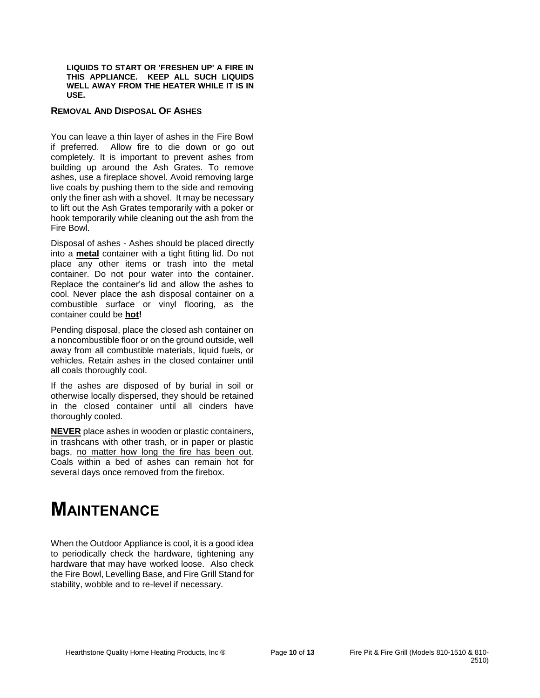**LIQUIDS TO START OR 'FRESHEN UP' A FIRE IN THIS APPLIANCE. KEEP ALL SUCH LIQUIDS WELL AWAY FROM THE HEATER WHILE IT IS IN USE.**

#### **REMOVAL AND DISPOSAL OF ASHES**

You can leave a thin layer of ashes in the Fire Bowl if preferred. Allow fire to die down or go out completely. It is important to prevent ashes from building up around the Ash Grates. To remove ashes, use a fireplace shovel. Avoid removing large live coals by pushing them to the side and removing only the finer ash with a shovel. It may be necessary to lift out the Ash Grates temporarily with a poker or hook temporarily while cleaning out the ash from the Fire Bowl.

Disposal of ashes - Ashes should be placed directly into a **metal** container with a tight fitting lid. Do not place any other items or trash into the metal container. Do not pour water into the container. Replace the container's lid and allow the ashes to cool. Never place the ash disposal container on a combustible surface or vinyl flooring, as the container could be **hot!**

Pending disposal, place the closed ash container on a noncombustible floor or on the ground outside, well away from all combustible materials, liquid fuels, or vehicles. Retain ashes in the closed container until all coals thoroughly cool.

If the ashes are disposed of by burial in soil or otherwise locally dispersed, they should be retained in the closed container until all cinders have thoroughly cooled.

**NEVER** place ashes in wooden or plastic containers, in trashcans with other trash, or in paper or plastic bags, no matter how long the fire has been out. Coals within a bed of ashes can remain hot for several days once removed from the firebox.

## **MAINTENANCE**

When the Outdoor Appliance is cool, it is a good idea to periodically check the hardware, tightening any hardware that may have worked loose. Also check the Fire Bowl, Levelling Base, and Fire Grill Stand for stability, wobble and to re-level if necessary.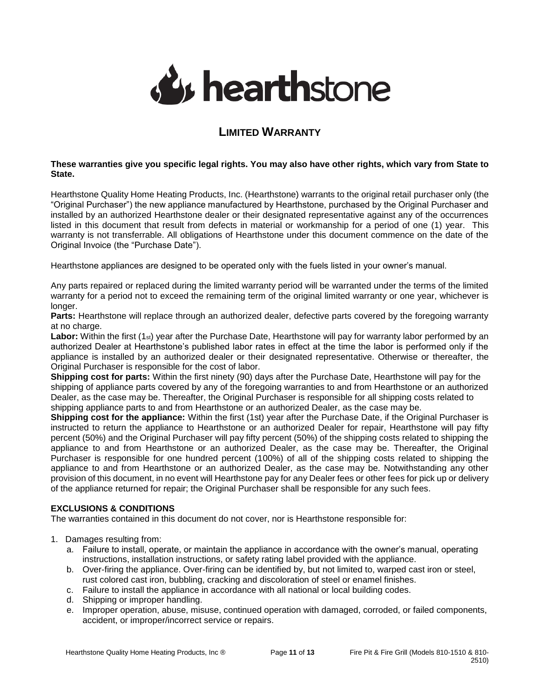

## **LIMITED WARRANTY**

### <span id="page-10-0"></span>**These warranties give you specific legal rights. You may also have other rights, which vary from State to State.**

Hearthstone Quality Home Heating Products, Inc. (Hearthstone) warrants to the original retail purchaser only (the "Original Purchaser") the new appliance manufactured by Hearthstone, purchased by the Original Purchaser and installed by an authorized Hearthstone dealer or their designated representative against any of the occurrences listed in this document that result from defects in material or workmanship for a period of one (1) year. This warranty is not transferrable. All obligations of Hearthstone under this document commence on the date of the Original Invoice (the "Purchase Date").

Hearthstone appliances are designed to be operated only with the fuels listed in your owner's manual.

Any parts repaired or replaced during the limited warranty period will be warranted under the terms of the limited warranty for a period not to exceed the remaining term of the original limited warranty or one year, whichever is longer.

**Parts:** Hearthstone will replace through an authorized dealer, defective parts covered by the foregoing warranty at no charge.

Labor: Within the first (1<sub>st</sub>) year after the Purchase Date, Hearthstone will pay for warranty labor performed by an authorized Dealer at Hearthstone's published labor rates in effect at the time the labor is performed only if the appliance is installed by an authorized dealer or their designated representative. Otherwise or thereafter, the Original Purchaser is responsible for the cost of labor.

**Shipping cost for parts:** Within the first ninety (90) days after the Purchase Date, Hearthstone will pay for the shipping of appliance parts covered by any of the foregoing warranties to and from Hearthstone or an authorized Dealer, as the case may be. Thereafter, the Original Purchaser is responsible for all shipping costs related to shipping appliance parts to and from Hearthstone or an authorized Dealer, as the case may be.

**Shipping cost for the appliance:** Within the first (1st) year after the Purchase Date, if the Original Purchaser is instructed to return the appliance to Hearthstone or an authorized Dealer for repair, Hearthstone will pay fifty percent (50%) and the Original Purchaser will pay fifty percent (50%) of the shipping costs related to shipping the appliance to and from Hearthstone or an authorized Dealer, as the case may be. Thereafter, the Original Purchaser is responsible for one hundred percent (100%) of all of the shipping costs related to shipping the appliance to and from Hearthstone or an authorized Dealer, as the case may be. Notwithstanding any other provision of this document, in no event will Hearthstone pay for any Dealer fees or other fees for pick up or delivery of the appliance returned for repair; the Original Purchaser shall be responsible for any such fees.

### **EXCLUSIONS & CONDITIONS**

The warranties contained in this document do not cover, nor is Hearthstone responsible for:

### 1. Damages resulting from:

- a. Failure to install, operate, or maintain the appliance in accordance with the owner's manual, operating instructions, installation instructions, or safety rating label provided with the appliance.
- b. Over-firing the appliance. Over-firing can be identified by, but not limited to, warped cast iron or steel, rust colored cast iron, bubbling, cracking and discoloration of steel or enamel finishes.
- c. Failure to install the appliance in accordance with all national or local building codes.
- d. Shipping or improper handling.
- e. Improper operation, abuse, misuse, continued operation with damaged, corroded, or failed components, accident, or improper/incorrect service or repairs.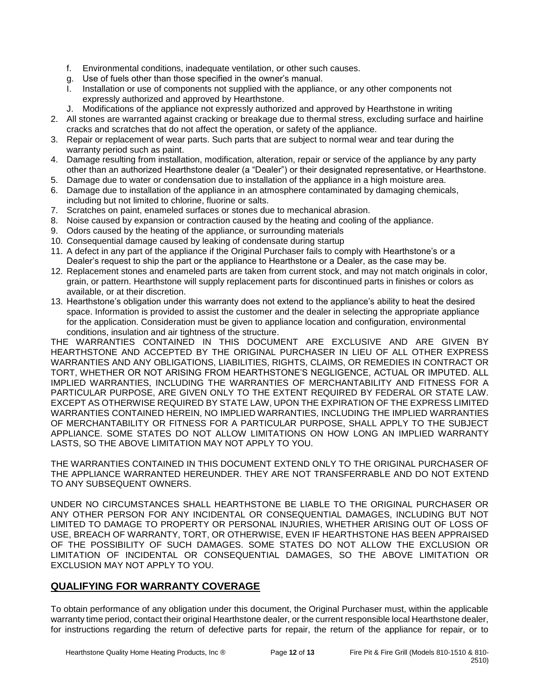- f. Environmental conditions, inadequate ventilation, or other such causes.
- g. Use of fuels other than those specified in the owner's manual.
- I. Installation or use of components not supplied with the appliance, or any other components not expressly authorized and approved by Hearthstone.
- J. Modifications of the appliance not expressly authorized and approved by Hearthstone in writing
- 2. All stones are warranted against cracking or breakage due to thermal stress, excluding surface and hairline cracks and scratches that do not affect the operation, or safety of the appliance.
- 3. Repair or replacement of wear parts. Such parts that are subject to normal wear and tear during the warranty period such as paint.
- 4. Damage resulting from installation, modification, alteration, repair or service of the appliance by any party other than an authorized Hearthstone dealer (a "Dealer") or their designated representative, or Hearthstone.
- 5. Damage due to water or condensation due to installation of the appliance in a high moisture area.
- 6. Damage due to installation of the appliance in an atmosphere contaminated by damaging chemicals, including but not limited to chlorine, fluorine or salts.
- 7. Scratches on paint, enameled surfaces or stones due to mechanical abrasion.
- 8. Noise caused by expansion or contraction caused by the heating and cooling of the appliance.
- 9. Odors caused by the heating of the appliance, or surrounding materials
- 10. Consequential damage caused by leaking of condensate during startup
- 11. A defect in any part of the appliance if the Original Purchaser fails to comply with Hearthstone's or a Dealer's request to ship the part or the appliance to Hearthstone or a Dealer, as the case may be.
- 12. Replacement stones and enameled parts are taken from current stock, and may not match originals in color, grain, or pattern. Hearthstone will supply replacement parts for discontinued parts in finishes or colors as available, or at their discretion.
- 13. Hearthstone's obligation under this warranty does not extend to the appliance's ability to heat the desired space. Information is provided to assist the customer and the dealer in selecting the appropriate appliance for the application. Consideration must be given to appliance location and configuration, environmental conditions, insulation and air tightness of the structure.

THE WARRANTIES CONTAINED IN THIS DOCUMENT ARE EXCLUSIVE AND ARE GIVEN BY HEARTHSTONE AND ACCEPTED BY THE ORIGINAL PURCHASER IN LIEU OF ALL OTHER EXPRESS WARRANTIES AND ANY OBLIGATIONS, LIABILITIES, RIGHTS, CLAIMS, OR REMEDIES IN CONTRACT OR TORT, WHETHER OR NOT ARISING FROM HEARTHSTONE'S NEGLIGENCE, ACTUAL OR IMPUTED. ALL IMPLIED WARRANTIES, INCLUDING THE WARRANTIES OF MERCHANTABILITY AND FITNESS FOR A PARTICULAR PURPOSE, ARE GIVEN ONLY TO THE EXTENT REQUIRED BY FEDERAL OR STATE LAW. EXCEPT AS OTHERWISE REQUIRED BY STATE LAW, UPON THE EXPIRATION OF THE EXPRESS LIMITED WARRANTIES CONTAINED HEREIN, NO IMPLIED WARRANTIES, INCLUDING THE IMPLIED WARRANTIES OF MERCHANTABILITY OR FITNESS FOR A PARTICULAR PURPOSE, SHALL APPLY TO THE SUBJECT APPLIANCE. SOME STATES DO NOT ALLOW LIMITATIONS ON HOW LONG AN IMPLIED WARRANTY LASTS, SO THE ABOVE LIMITATION MAY NOT APPLY TO YOU.

THE WARRANTIES CONTAINED IN THIS DOCUMENT EXTEND ONLY TO THE ORIGINAL PURCHASER OF THE APPLIANCE WARRANTED HEREUNDER. THEY ARE NOT TRANSFERRABLE AND DO NOT EXTEND TO ANY SUBSEQUENT OWNERS.

UNDER NO CIRCUMSTANCES SHALL HEARTHSTONE BE LIABLE TO THE ORIGINAL PURCHASER OR ANY OTHER PERSON FOR ANY INCIDENTAL OR CONSEQUENTIAL DAMAGES, INCLUDING BUT NOT LIMITED TO DAMAGE TO PROPERTY OR PERSONAL INJURIES, WHETHER ARISING OUT OF LOSS OF USE, BREACH OF WARRANTY, TORT, OR OTHERWISE, EVEN IF HEARTHSTONE HAS BEEN APPRAISED OF THE POSSIBILITY OF SUCH DAMAGES. SOME STATES DO NOT ALLOW THE EXCLUSION OR LIMITATION OF INCIDENTAL OR CONSEQUENTIAL DAMAGES, SO THE ABOVE LIMITATION OR EXCLUSION MAY NOT APPLY TO YOU.

### **QUALIFYING FOR WARRANTY COVERAGE**

To obtain performance of any obligation under this document, the Original Purchaser must, within the applicable warranty time period, contact their original Hearthstone dealer, or the current responsible local Hearthstone dealer, for instructions regarding the return of defective parts for repair, the return of the appliance for repair, or to